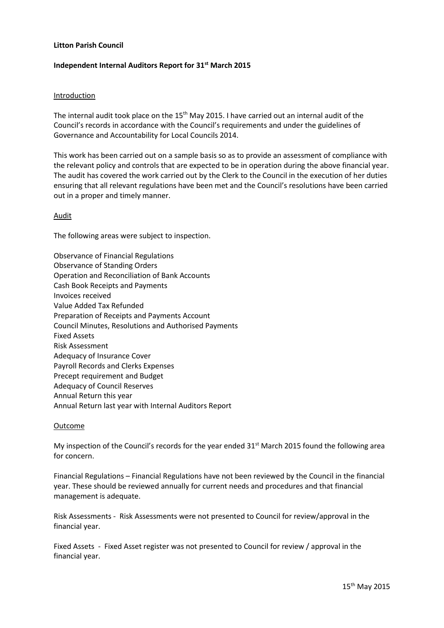## **Litton Parish Council**

## **Independent Internal Auditors Report for 31st March 2015**

### Introduction

The internal audit took place on the 15<sup>th</sup> May 2015. I have carried out an internal audit of the Council's records in accordance with the Council's requirements and under the guidelines of Governance and Accountability for Local Councils 2014.

This work has been carried out on a sample basis so as to provide an assessment of compliance with the relevant policy and controls that are expected to be in operation during the above financial year. The audit has covered the work carried out by the Clerk to the Council in the execution of her duties ensuring that all relevant regulations have been met and the Council's resolutions have been carried out in a proper and timely manner.

#### **Audit**

The following areas were subject to inspection.

Observance of Financial Regulations Observance of Standing Orders Operation and Reconciliation of Bank Accounts Cash Book Receipts and Payments Invoices received Value Added Tax Refunded Preparation of Receipts and Payments Account Council Minutes, Resolutions and Authorised Payments Fixed Assets Risk Assessment Adequacy of Insurance Cover Payroll Records and Clerks Expenses Precept requirement and Budget Adequacy of Council Reserves Annual Return this year Annual Return last year with Internal Auditors Report

#### Outcome

My inspection of the Council's records for the year ended  $31<sup>st</sup>$  March 2015 found the following area for concern.

Financial Regulations – Financial Regulations have not been reviewed by the Council in the financial year. These should be reviewed annually for current needs and procedures and that financial management is adequate.

Risk Assessments - Risk Assessments were not presented to Council for review/approval in the financial year.

Fixed Assets - Fixed Asset register was not presented to Council for review / approval in the financial year.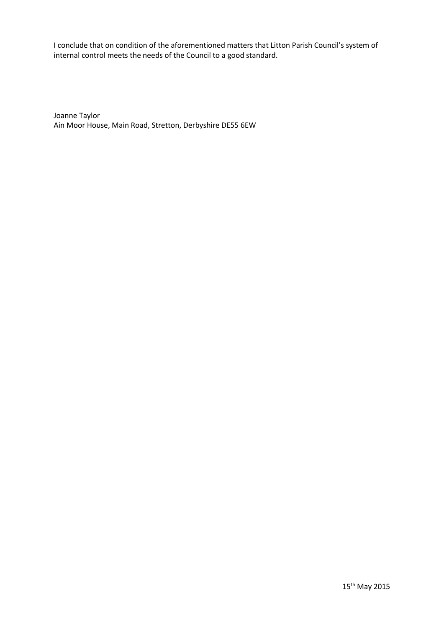I conclude that on condition of the aforementioned matters that Litton Parish Council's system of internal control meets the needs of the Council to a good standard.

Joanne Taylor Ain Moor House, Main Road, Stretton, Derbyshire DE55 6EW